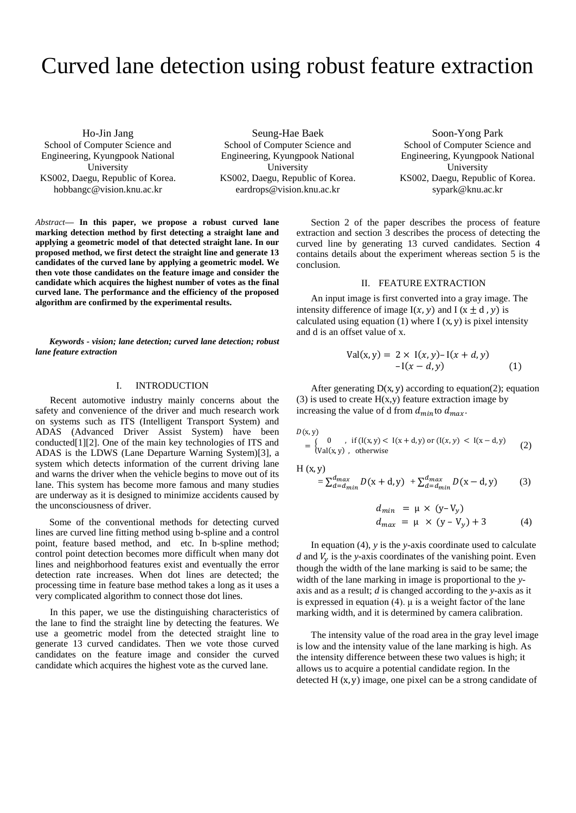# Curved lane detection using robust feature extraction

Ho-Jin Jang School of Computer Science and Engineering, Kyungpook National University KS002, Daegu, Republic of Korea. hobbangc@vision.knu.ac.kr

Seung-Hae Baek School of Computer Science and Engineering, Kyungpook National University KS002, Daegu, Republic of Korea. eardrops@vision.knu.ac.kr

Soon-Yong Park School of Computer Science and Engineering, Kyungpook National University KS002, Daegu, Republic of Korea. sypark@knu.ac.kr

*Abstract***— In this paper, we propose a robust curved lane marking detection method by first detecting a straight lane and applying a geometric model of that detected straight lane. In our proposed method, we first detect the straight line and generate 13 candidates of the curved lane by applying a geometric model. We then vote those candidates on the feature image and consider the candidate which acquires the highest number of votes as the final curved lane. The performance and the efficiency of the proposed algorithm are confirmed by the experimental results.**

*Keywords - vision; lane detection; curved lane detection; robust lane feature extraction*

## I. INTRODUCTION

Recent automotive industry mainly concerns about the safety and convenience of the driver and much research work on systems such as ITS (Intelligent Transport System) and ADAS (Advanced Driver Assist System) have been conducted[1][2]. One of the main key technologies of ITS and ADAS is the LDWS (Lane Departure Warning System)[3], a system which detects information of the current driving lane and warns the driver when the vehicle begins to move out of its lane. This system has become more famous and many studies are underway as it is designed to minimize accidents caused by the unconsciousness of driver.

Some of the conventional methods for detecting curved lines are curved line fitting method using b-spline and a control point, feature based method, and etc. In b-spline method; control point detection becomes more difficult when many dot lines and neighborhood features exist and eventually the error detection rate increases. When dot lines are detected; the processing time in feature base method takes a long as it uses a very complicated algorithm to connect those dot lines.

In this paper, we use the distinguishing characteristics of the lane to find the straight line by detecting the features. We use a geometric model from the detected straight line to generate 13 curved candidates. Then we vote those curved candidates on the feature image and consider the curved candidate which acquires the highest vote as the curved lane.

Section 2 of the paper describes the process of feature extraction and section 3 describes the process of detecting the curved line by generating 13 curved candidates. Section 4 contains details about the experiment whereas section 5 is the conclusion.

#### II. FEATURE EXTRACTION

An input image is first converted into a gray image. The intensity difference of image  $I(x, y)$  and  $I(x \pm d, y)$  is calculated using equation (1) where  $I(x, y)$  is pixel intensity and d is an offset value of x.

$$
Val(x, y) = 2 \times I(x, y) - I(x + d, y) - I(x - d, y)
$$
\n(1)

After generating  $D(x, y)$  according to equation(2); equation (3) is used to create  $H(x,y)$  feature extraction image by increasing the value of d from  $d_{min}$  to  $d_{max}$ .

$$
D(x,y)
$$
  
= 
$$
\begin{cases} 0, & \text{if } (I(x,y) < I(x+d,y) \text{ or } (I(x,y) < I(x-d,y) \\ Val(x,y), & \text{otherwise} \end{cases}
$$
 (2)

 $H(x, y)$ 

$$
= \sum_{d=d_{min}}^{d_{max}} D(x+d, y) + \sum_{d=d_{min}}^{d_{max}} D(x-d, y) \tag{3}
$$

$$
d_{min} = \mu \times (y - V_y)
$$
  
\n
$$
d_{max} = \mu \times (y - V_y) + 3
$$
 (4)

In equation (4), *y* is the *y*-axis coordinate used to calculate *d* and  $V_v$  is the *y*-axis coordinates of the vanishing point. Even though the width of the lane marking is said to be same; the width of the lane marking in image is proportional to the *y*axis and as a result; *d* is changed according to the *y-*axis as it is expressed in equation  $(4)$ . μ is a weight factor of the lane marking width, and it is determined by camera calibration.

The intensity value of the road area in the gray level image is low and the intensity value of the lane marking is high. As the intensity difference between these two values is high; it allows us to acquire a potential candidate region. In the detected  $H(x, y)$  image, one pixel can be a strong candidate of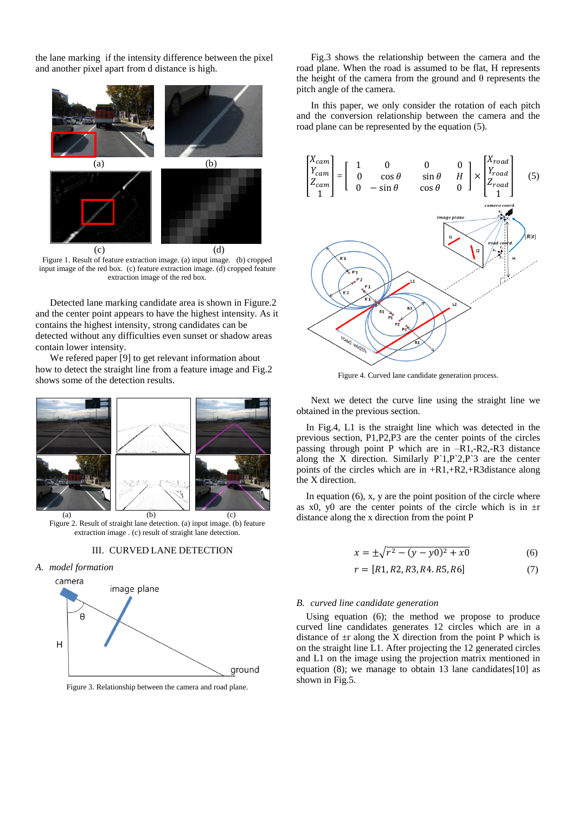the lane marking if the intensity difference between the pixel and another pixel apart from d distance is high.



Figure 1. Result of feature extraction image. (a) input image. (b) cropped input image of the red box. (c) feature extraction image. (d) cropped feature extraction image of the red box.

Detected lane marking candidate area is shown in Figure.2 and the center point appears to have the highest intensity. As it contains the highest intensity, strong candidates can be detected without any difficulties even sunset or shadow areas contain lower intensity.

We refered paper [9] to get relevant information about how to detect the straight line from a feature image and Fig.2 shows some of the detection results.



Figure 2. Result of straight lane detection. (a) input image. (b) feature extraction image . (c) result of straight lane detection.

III. CURVED LANE DETECTION





Figure 3. Relationship between the camera and road plane.

Fig.3 shows the relationship between the camera and the road plane. When the road is assumed to be flat, H represents the height of the camera from the ground and  $θ$  represents the pitch angle of the camera.

In this paper, we only consider the rotation of each pitch and the conversion relationship between the camera and the road plane can be represented by the equation (5).



Figure 4. Curved lane candidate generation process.

Next we detect the curve line using the straight line we obtained in the previous section.

In Fig.4, L1 is the straight line which was detected in the previous section, P1,P2,P3 are the center points of the circles passing through point P which are in –R1,-R2,-R3 distance along the X direction. Similarly  $P^1, P^2, P^3$  are the center points of the circles which are in +R1,+R2,+R3distance along the X direction.

In equation  $(6)$ , x, y are the point position of the circle where as  $x0$ , y0 are the center points of the circle which is in  $\pm r$ distance along the x direction from the point P

$$
x = \pm \sqrt{r^2 - (y - y0)^2 + x0}
$$
 (6)

$$
r = [R1, R2, R3, R4, R5, R6]
$$
 (7)

#### *B. curved line candidate generation*

Using equation (6); the method we propose to produce curved line candidates generates 12 circles which are in a distance of  $\pm r$  along the X direction from the point P which is on the straight line L1. After projecting the 12 generated circles and L1 on the image using the projection matrix mentioned in equation (8); we manage to obtain 13 lane candidates[10] as shown in Fig.5.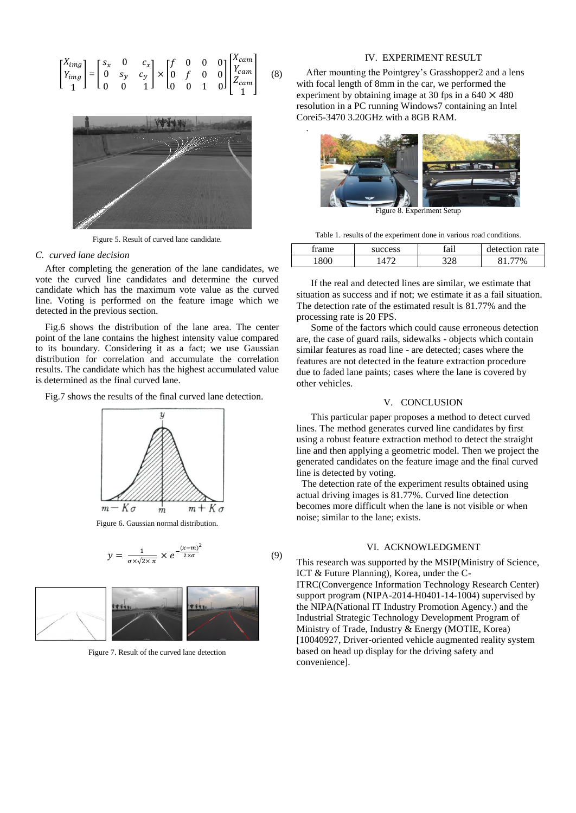$$
\begin{bmatrix} X_{img} \\ Y_{img} \\ 1 \end{bmatrix} = \begin{bmatrix} s_x & 0 & c_x \\ 0 & s_y & c_y \\ 0 & 0 & 1 \end{bmatrix} \times \begin{bmatrix} f & 0 & 0 & 0 \\ 0 & f & 0 & 0 \\ 0 & 0 & 1 & 0 \end{bmatrix} \begin{bmatrix} X_{cam} \\ Y_{cam} \\ Z_{cam} \\ 1 \end{bmatrix}
$$
 (8)



Figure 5. Result of curved lane candidate.

#### *C. curved lane decision*

After completing the generation of the lane candidates, we vote the curved line candidates and determine the curved candidate which has the maximum vote value as the curved line. Voting is performed on the feature image which we detected in the previous section.

Fig.6 shows the distribution of the lane area. The center point of the lane contains the highest intensity value compared to its boundary. Considering it as a fact; we use Gaussian distribution for correlation and accumulate the correlation results. The candidate which has the highest accumulated value is determined as the final curved lane.

Fig.7 shows the results of the final curved lane detection.



Figure 6. Gaussian normal distribution.

$$
y = \frac{1}{\sigma \times \sqrt{2 \times \pi}} \times e^{-\frac{(x - m)^2}{2 \times \sigma}} \tag{9}
$$



Figure 7. Result of the curved lane detection

## IV. EXPERIMENT RESULT

After mounting the Pointgrey's Grasshopper2 and a lens with focal length of 8mm in the car, we performed the experiment by obtaining image at 30 fps in a  $640 \times 480$ resolution in a PC running Windows7 containing an Intel Corei5-3470 3.20GHz with a 8GB RAM.

.



Table 1. results of the experiment done in various road conditions.

| 'rame | success | fail | detection rate |
|-------|---------|------|----------------|
| 800   |         |      | $\frac{10}{6}$ |

If the real and detected lines are similar, we estimate that situation as success and if not; we estimate it as a fail situation. The detection rate of the estimated result is 81.77% and the processing rate is 20 FPS.

Some of the factors which could cause erroneous detection are, the case of guard rails, sidewalks - objects which contain similar features as road line - are detected; cases where the features are not detected in the feature extraction procedure due to faded lane paints; cases where the lane is covered by other vehicles.

## V. CONCLUSION

This particular paper proposes a method to detect curved lines. The method generates curved line candidates by first using a robust feature extraction method to detect the straight line and then applying a geometric model. Then we project the generated candidates on the feature image and the final curved line is detected by voting.

The detection rate of the experiment results obtained using actual driving images is 81.77%. Curved line detection becomes more difficult when the lane is not visible or when noise; similar to the lane; exists.

### VI. ACKNOWLEDGMENT

This research was supported by the MSIP(Ministry of Science, ICT & Future Planning), Korea, under the C-ITRC(Convergence Information Technology Research Center) support program (NIPA-2014-H0401-14-1004) supervised by the NIPA(National IT Industry Promotion Agency.) and the Industrial Strategic Technology Development Program of Ministry of Trade, Industry & Energy (MOTIE, Korea) [10040927, Driver-oriented vehicle augmented reality system based on head up display for the driving safety and convenience].